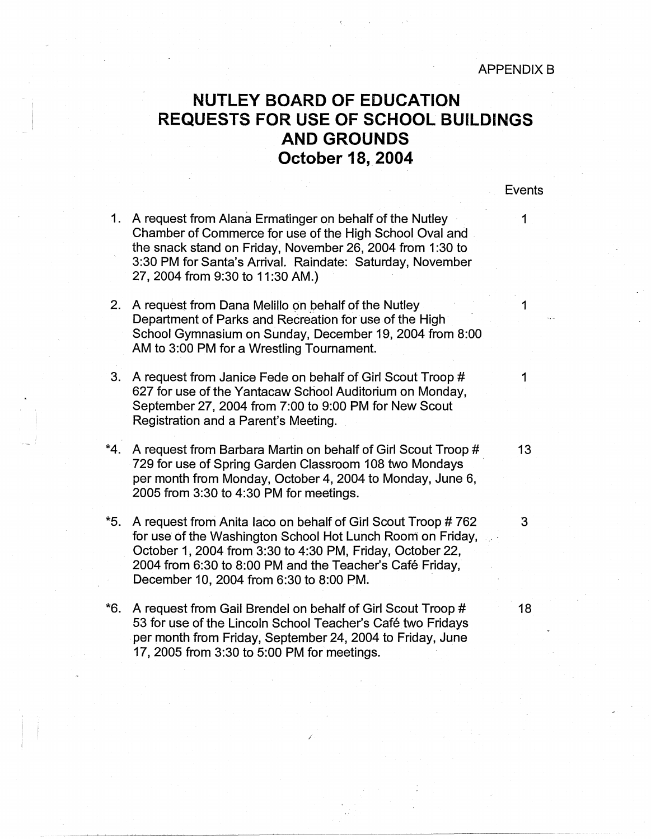## **NUTLEY BOARD OF EDUCATION REQUESTS FOR USE OF SCHOOL BUILDINGS AND GROUNDS October 18,. 2004**

## **Events**

- 1. A request from Alana Ermatinger on behalf of the Nutley Chamber of Commerce for use of the High School Oval and the snack stand on Friday, November 26, 2004 from 1:30 to 3:30 PM for Santa's Arrival. Raindate: Saturday, November 27, 2004 from 9:30 to 11:30 AM.)
- 2. A request from Dana Melillo on behalf of the Nutley 1 Department of Parks and Recreation for use of the High School Gymnasium on Sunday, December 19, 2004 from 8:00 AM to 3:00 PM for a Wrestling Tournament.
- 3. A request from Janice Fede on behalf of Girl Scout Troop # 1 627 for use of the Yantacaw School Auditorium on Monday, September 27, 2004 from 7:00 to 9:00 PM for New Scout Registration and a Parent's Meeting.
- \*4. A request from Barbara Martin on behalf of Girl Scout Troop # 13 729 for use of Spring Garden Classroom 108 two Mondays per month from Monday, October 4, 2004 to Monday, June 6, 2005 from 3:30 to 4:30 PM for meetings.
- \*5. A request from Anita laco on behalf of Girl Scout Troop # 762 3 for use of the Washington School Hot Lunch Room on Friday, October 1, 2004 from 3:30 to 4:30 PM, Friday, October 22, 2004 from 6:30 to 8:00 PM and the Teacher's Cafe Friday, December 10, 2004 from 6:30 to 8:00 PM.
- \*6. A request from Gail Brendel on behalf of Girl Scout Troop # 18 53 for use of the Lincoln School Teacher's Café two Fridays per month from Friday, September 24, 2004 to Friday, June 17, 2005 from 3:30 to 5:00 PM for meetings.

/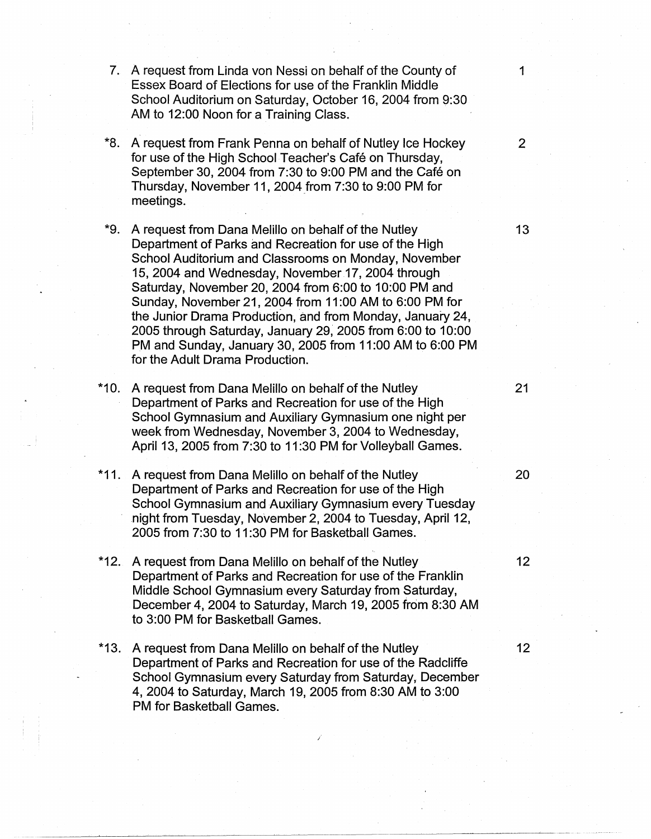- 7. A request from Linda von Nessi on behalf of the County of 1 Essex Board of Elections for use of the Franklin Middle School Auditorium on Saturday, October 16, 2004 from 9:30 AM to 12:00 Noon for a Training Class.
- \*8. A request from Frank Penna on behalf of Nutley Ice Hockey 2 for use of the High School Teacher's Café on Thursday. September 30, 2004 from 7:30 to 9:00 PM and the Café on Thursday, November 11, 2004 from 7:30 to 9:00 PM for meetings.
- \*9. A request from Dana Melillo on behalf of the Nutley 13 Department of Parks and Recreation for use of the High School Auditorium and Classrooms on Monday, November 15, 2004 and Wednesday, November 17, 2004 through Saturday, November 20, 2004 from 6:00 to 10:00 PM and Sunday, November 21, 2004 from 11 :00 AM to 6:00 PM for the Junior Drama Production, and from Monday, January 24, 2005 through Saturday, January 29, 2005 from 6:00 to 10:00 PM and Sunday, January 30, 2005 from 11 :00 AM to 6:00 PM for the Adult Drama Production.
- \*10. A request from Dana Melillo on behalf of the Nutley 21 Department of Parks and Recreation for use of the High School Gymnasium and Auxiliary Gymnasium one night per week from Wednesday, November 3, 2004 to Wednesday, April 13, 2005 from 7:30 to 11 :30 PM for Volleyball Games.
- \*11. A request from Dana Melillo on behalf of the Nutley 20 Department of Parks and Recreation for use of the High School Gymnasium and Auxiliary Gymnasium every Tuesday .night from Tuesday, November 2, 2004 to Tuesday, April 12, 2005 from 7:30 to 11 :30 PM for Basketball Games.
- \*12. A request from Dana Melillo on behalf of the Nutley 12 Department of Parks and Recreation for use of the Franklin Middle School Gymnasium every Saturday from Saturday, December 4, 2004 to Saturday, March 19, 2005 from 8:30 AM to 3:00 PM for Basketball Games.
- \*13. A request from Dana Melillo on behalf of the Nutley 12 Department of Parks and Recreation for use of the Radcliffe School Gymnasium every Saturday from Saturday, December 4, 2004 to Saturday, March 19, 2005 from 8:30 AM to 3:00 PM for Basketball Games.

*I* 

-----~----------~~---~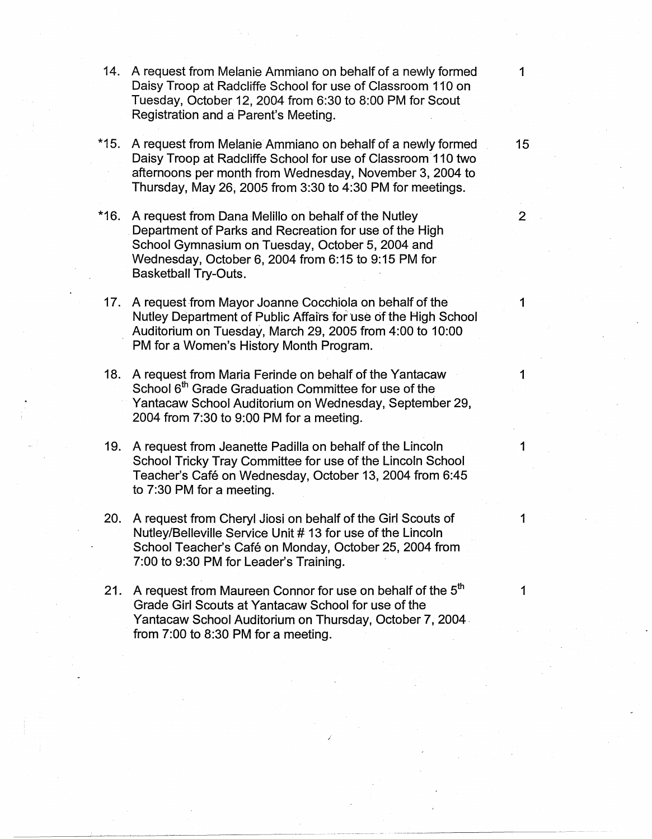- 14. A request from Melanie Ammiano on behalf of a newly formed 1 Daisy Troop at Radcliffe School for use of Classroom 110 on Tuesday, October 12, 2004 from 6:30 to 8:00 PM for Scout Registration and a Parent's Meeting.
- \*15. A request from Melanie Ammiano on behalf of a newly formed 15 Daisy Troop at Radcliffe School for use of Classroom· 110 two afternoons per month from Wednesday, November 3, 2004 to Thursday, May 26, 2005 from 3:30 to 4:30 PM for meetings.
- \*16. A request from Dana Melillo on behalf of the Nutley 2 Department of Parks and Recreation for use of the High School Gymnasium on Tuesday, October 5, 2004 and Wednesday, October 6, 2004 from 6:15 to 9:15 PM for Basketball Try-Outs.
- 17. A request from Mayor Joanne Cocchiola on behalf of the 1 Nutley Department of Public Affairs for use of the High School Auditorium on Tuesday, March 29, 2005 from 4:00 to 10:00 PM for a Women's History Month Program.
- 18. A request from Maria Ferinde on behalf of the Yantacaw School 6<sup>th</sup> Grade Graduation Committee for use of the Yantacaw School Auditorium on Wednesday, September 29, 2004 from 7:30 to 9:00 PM for a meeting.
- 19. A request from Jeanette Padilla on behalf of the Lincoln 1 School Tricky Tray Committee for use of the Lincoln School Teacher's Café on Wednesday, October 13, 2004 from 6:45 to 7:30 PM for a meeting.
- 20. A request from Cheryl Jiosi on behalf of the Girl Scouts of 1 Nutley/Belleville Service Unit # 13 for use of the Lincoln School Teacher's Café on Monday, October 25, 2004 from 7:00 to 9:30 PM for Leader's Training.
- 21. A request from Maureen Connor for use on behalf of the  $5<sup>th</sup>$  1 Grade Girl Scouts at Yantacaw School for use of the Yantacaw School Auditorium on Thursday, October 7, 2004. from 7:00 to 8:30 PM for a meeting.

/

1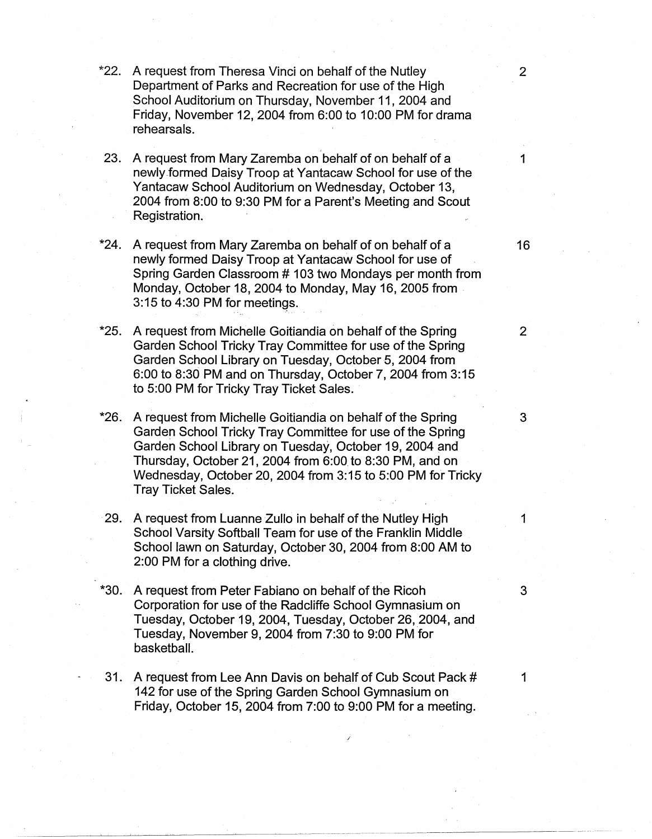- \*22. A request from Theresa Vinci on behalf of the Nutley 2 Department of Parks and Recreation for use of the High School Auditorium on Thursday, November 11, 2004 and Friday, November 12, 2004 from 6:00 to 10:00 PM for drama rehearsals.
- 23. A request from Mary Zaremba on behalf of on behalf of a 1 newly formed Daisy Troop at Yantacaw School for use of the Yantacaw School Auditorium on Wednesday, October 13, 2004 from 8:00 to 9:30 PM for a Parent's Meeting and Scout Registration.
- \*24. A request from Mary Zaremba on behalf of on behalf of a 16 newly formed Daisy Troop at Yantacaw School for use of Spring Garden Classroom # 103 two Mondays per month from Monday, October 18, 2004 to Monday, May 16, 2005 from .  $3:15$  to  $4:30$  PM for meetings.
- \*25. A request from Michelle Goitiandia on behalf of the Spring 2 Garden School Tricky Tray Committee for use of the Spring Garden School Library on Tuesday, October 5, 2004 from 6:00 to 8:30 PM and on Thursday, October 7, 2004 from 3:15 to 5:00 PM for Tricky Tray Ticket Sales.
- \*26. A request from Michelle Goitiandia on behalf of the Spring 3 Garden School Tricky Tray Committee for use of the Spring Garden School Library on Tuesday, October 19, 2004 and Thursday, October 21, 2004 from 6:00. to 8:30 PM, and on Wednesday, October 20, 2004 from 3:15 to 5:00 PM for Tricky Tray Ticket Sales.
- 29. A request from Luanne Zullo in behalf of the Nutley High 1 School Varsity Softball Team for use of the Franklin Middle School lawn on Saturday, October 30, 2004 from 8:00 AM to 2:00 PM for a clothing drive.
- \*30. A request from Peter Fabiano on behalf of the Ricoh 3 Corporation for use of the Radcliffe School Gymnasium on Tuesday, October 19, 2004, Tuesday, October 26, 2004, and Tuesday, November 9, 2004 from 7:30 to 9:00 PM for basketball.
- 31. A request from Lee Ann Davis on behalf of Cub Scout Pack # 1 142 for use of the Spring Garden School Gymnasium on Friday, October 15, 2004 from 7:00 to 9:00 PM for a meeting.

*I* 

·----------·----------